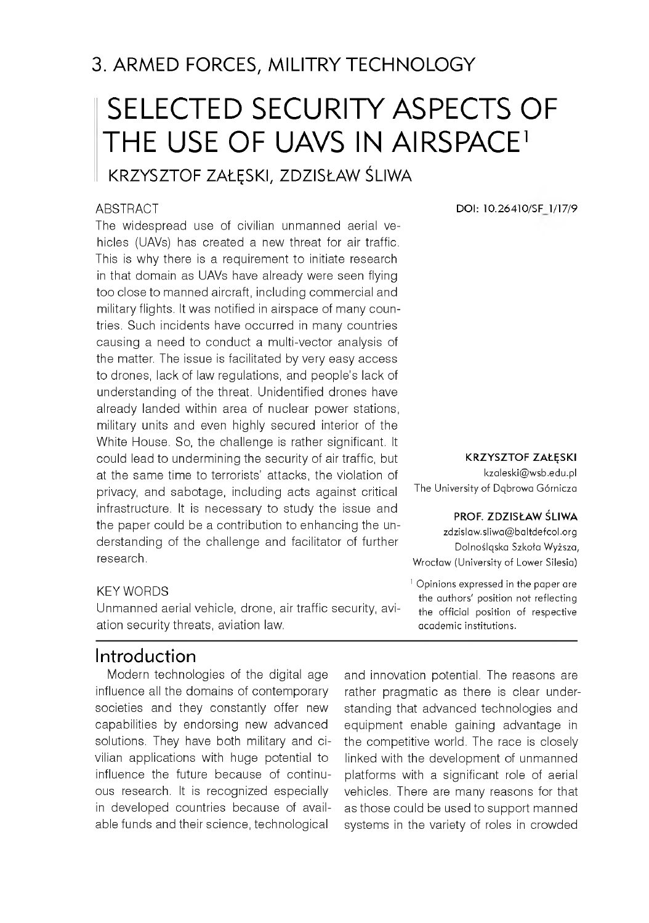3. ARMED FORCES, MILITRY TECHNOLOGY

# SELECTED SECURITY ASPECTS OF THE USE OF UAVS IN AIRSPACE<sup>1</sup>

KRZYSZTOF ZAŁĘSKI, ZDZISŁAW ŚLIWA

#### ABSTRACT

The widespread use of civilian unmanned aerial vehicles (UAVs) has created a new threat for air traffic. This is why there is a requirement to initiate research in that domain as UAVs have already were seen flying too close to manned aircraft, including commercial and military flights. It was notified in airspace of many countries. Such incidents have occurred in many countries causing a need to conduct a multi-vector analysis of the matter. The issue is facilitated by very easy access to drones, lack of law regulations, and people's lack of understanding of the threat. Unidentified drones have already landed within area of nuclear power stations, military units and even highly secured interior of the White House. So, the challenge is rather significant. It could lead to undermining the security of air traffic, but at the same time to terrorists' attacks, the violation of privacy, and sabotage, including acts against critical infrastructure. It is necessary to study the issue and the paper could be a contribution to enhancing the understanding of the challenge and facilitator of further research.

#### KEY WORDS

Unmanned aerial vehicle, drone, air traffic security, aviation security threats, aviation law.

### Introduction

Modern technologies of the digital age influence all the domains of contemporary societies and they constantly offer new capabilities by endorsing new advanced solutions. They have both military and civilian applications with huge potential to influence the future because of continuous research. It is recognized especially in developed countries because of available funds and their science, technological

**DOI: 10.26410/SF 1/17/9**

#### **KRZYSZTOF ZAŁĘSKI**

kzaleski@wsb.edu.pl The University of Dabrowa Górnicza

#### **PROF. ZDZISŁAW ŚLIWA**

zdzislaw.sliwa@baltdefcol.org Dolnośląska Szkoła Wyższa, Wrocław (University of Lower Silesia)

<sup>1</sup> Opinions expressed in the paper are the authors' position not reflecting the official position of respective academic institutions.

and innovation potential. The reasons are rather pragmatic as there is clear understanding that advanced technologies and equipment enable gaining advantage in the competitive world. The race is closely linked with the development of unmanned platforms with a significant role of aerial vehicles. There are many reasons for that as those could be used to support manned systems in the variety of roles in crowded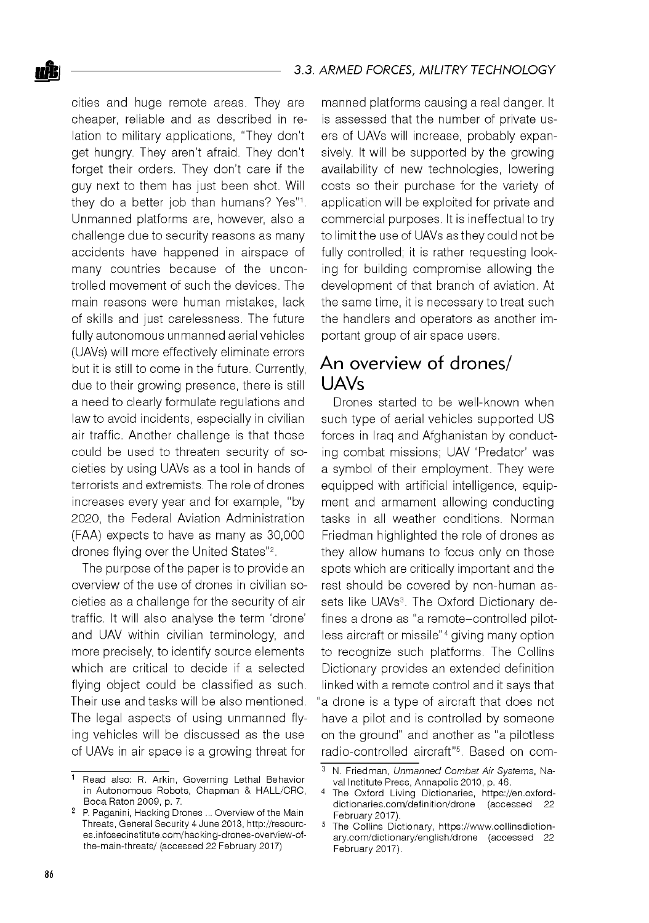cities and huge remote areas. They are cheaper, reliable and as described in relation to military applications, "They don't get hungry. They aren't afraid. They don't forget their orders. They don't care if the guy next to them has just been shot. Will they do a better job than humans? Yes"1. Unmanned platforms are, however, also a challenge due to security reasons as many accidents have happened in airspace of many countries because of the uncontrolled movement of such the devices. The main reasons were human mistakes, lack of skills and just carelessness. The future fully autonomous unmanned aerial vehicles (UAVs) will more effectively eliminate errors but it is still to come in the future. Currently, due to their growing presence, there is still a need to clearly formulate regulations and law to avoid incidents, especially in civilian air traffic. Another challenge is that those could be used to threaten security of societies by using UAVs as a tool in hands of terrorists and extremists. The role of drones increases every year and for example, "by 2020, the Federal Aviation Administration (FAA) expects to have as many as 30,000 drones flying over the United States"2.

The purpose of the paper is to provide an overview of the use of drones in civilian societies as a challenge for the security of air traffic. It will also analyse the term 'drone' and UAV within civilian terminology, and more precisely, to identify source elements which are critical to decide if a selected flying object could be classified as such. Their use and tasks will be also mentioned. The legal aspects of using unmanned flying vehicles will be discussed as the use of UAVs in air space is a growing threat for

manned platforms causing a real danger. It is assessed that the number of private users of UAVs will increase, probably expansively. It will be supported by the growing availability of new technologies, lowering costs so their purchase for the variety of application will be exploited for private and commercial purposes. It is ineffectual to try to limit the use of UAVs as they could not be fully controlled; it is rather requesting looking for building compromise allowing the development of that branch of aviation. At the same time, it is necessary to treat such the handlers and operators as another important group of air space users.

## An overview of drones/ UAVs

Drones started to be well-known when such type of aerial vehicles supported US forces in Iraq and Afghanistan by conducting combat missions; UAV 'Predator' was a symbol of their employment. They were equipped with artificial intelligence, equipment and armament allowing conducting tasks in all weather conditions. Norman Friedman highlighted the role of drones as they allow humans to focus only on those spots which are critically important and the rest should be covered by non-human assets like UAVs<sup>3</sup>. The Oxford Dictionary defines a drone as "a remote-controlled pilotless aircraft or missile"4 giving many option to recognize such platforms. The Collins Dictionary provides an extended definition linked with a remote control and it says that "a drone is a type of aircraft that does not have a pilot and is controlled by someone on the ground" and another as "a pilotless radio-controlled aircraft"5. Based on com-

<sup>1</sup> Read also: R. Arkin, Governing Lethal Behavior in Autonomous Robots, Chapman & HALL/CRC, Boca Raton 2009, p. 7.

<sup>2</sup> P. Paganini, Hacking Drones ... Overview of the Main Threats, General Security 4 June 2013, [http://resourc](http://resourc-)es.infosecinstitute.com/hacking-drones-overview-ofthe-main-threats/ (accessed 22 February 2017)

<sup>3</sup> N. Friedman, *Unmanned Com bat Air Systems,* Naval Institute Press, Annapolis 2010, p. 46.

The Oxford Living Dictionaries, [https://en.oxford](https://en.oxford-)dictionaries.com /definition/drone (accessed 22 February 2017).

<sup>&</sup>lt;sup>5</sup> The Collins Dictionary, https://www.collinsdictionary.com /dictionary/english/drone (accessed 22 February 2017).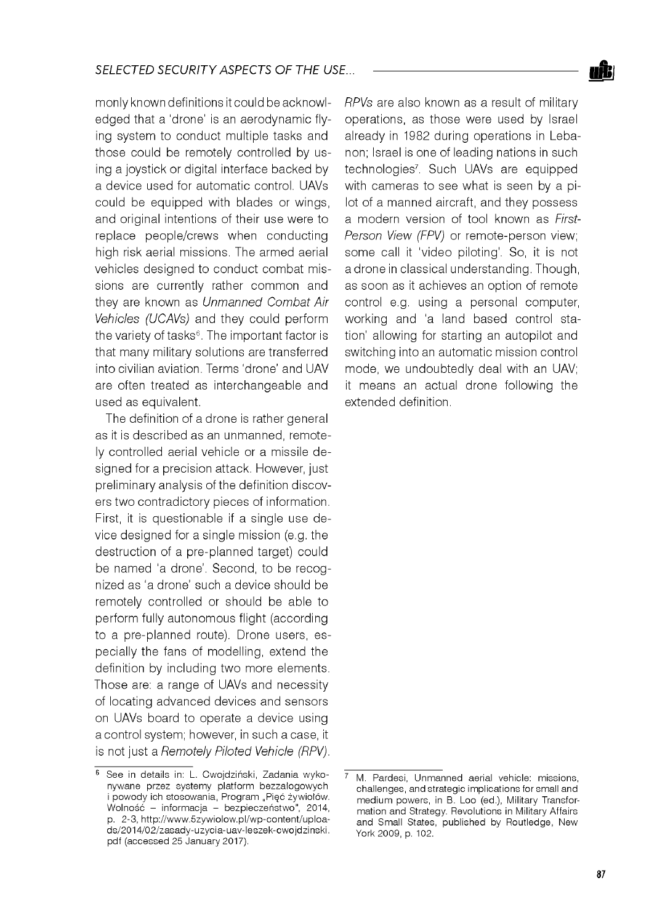monly known definitions it could be acknowledged that a 'drone' is an aerodynamic flying system to conduct multiple tasks and those could be remotely controlled by using a joystick or digital interface backed by a device used for automatic control. UAVs could be equipped with blades or wings, and original intentions of their use were to replace people/crews when conducting high risk aerial missions. The armed aerial vehicles designed to conduct combat missions are currently rather common and they are known as *Unmanned Combat Air Vehicles (UCAVs)* and they could perform the variety of tasks $6$ . The important factor is that many military solutions are transferred into civilian aviation. Terms 'drone' and UAV are often treated as interchangeable and used as equivalent.

The definition of a drone is rather general as it is described as an unmanned, remotely controlled aerial vehicle or a missile designed for a precision attack. However, just preliminary analysis of the definition discovers two contradictory pieces of information. First, it is questionable if a single use device designed for a single mission (e.g. the destruction of a pre-planned target) could be named 'a drone'. Second, to be recognized as 'a drone' such a device should be remotely controlled or should be able to perform fully autonomous flight (according to a pre-planned route). Drone users, especially the fans of modelling, extend the definition by including two more elements. Those are: a range of UAVs and necessity of locating advanced devices and sensors on UAVs board to operate a device using a control system; however, in such a case, it is not just a *Remotely Piloted Vehicle (RPV).*

*RPVs* are also known as a result of military operations, as those were used by Israel already in 1982 during operations in Lebanon; Israel is one of leading nations in such technologies7. Such UAVs are equipped with cameras to see what is seen by a pilot of a manned aircraft, and they possess a modern version of tool known as *First-Person View (FPV)* or remote-person view; some call it 'video piloting'. So, it is not a drone in classical understanding. Though, as soon as it achieves an option of remote control e.g. using a personal computer, working and 'a land based control station' allowing for starting an autopilot and switching into an automatic mission control mode, we undoubtedly deal with an UAV; it means an actual drone following the extended definition.



<sup>&</sup>lt;sup>6</sup> See in details in: L. Cwojdziński, Zadania wykonywane przez systemy platform bezzalogowych i powody ich stosowania, Program "Pięć żywiołów. Wolność - informacja - bezpieczeństwo", 2014, p. 2-3, http://www.5zywiolow.pl/wp-content/uploads/2014/02/zasady-uzycia-uav-leszek-cw ojdzinski. pdf (accessed 25 January 2017).

M. Pardesi, Unmanned aerial vehicle: missions, challenges, and strategic implications for small and medium powers, in B. Loo (ed.), Military Transformation and Strategy. Revolutions in Military Affairs and Small States, published by Routledge, New York 2009, p. 102.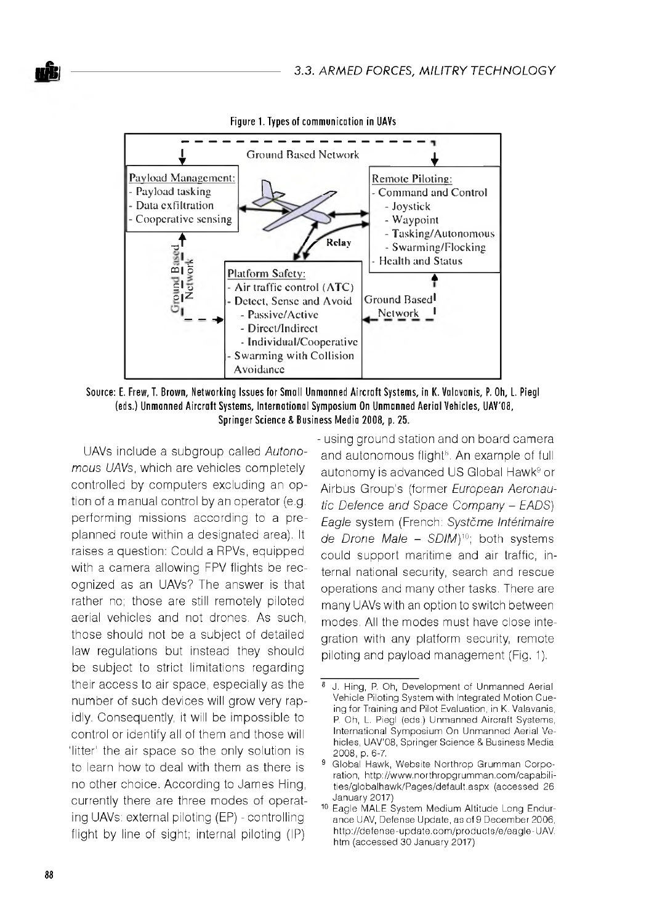

Source: E. Frew, T. Brown, Networking Issues for Small Unmanned Aircraft Systems, in K. Valavanis, P. Oh, L. Piegl (eds.) Unmanned Aircraft Systems, International Symposium On Unmanned Aerial Vehicles, UAV'08, Springer Science & Business Media 2008, p. 25.

UAVs include a subgroup called Autonomous UAVs, which are vehicles completely controlled by computers excluding an option of a manual control by an operator (e.g. performing missions according to a preplanned route within a designated area). It raises a question: Could a RPVs, equipped with a camera allowing FPV flights be recognized as an UAVs? The answer is that rather no; those are still remotely piloted aerial vehicles and not drones. As such, those should not be a subject of detailed law regulations but instead they should be subject to strict limitations regarding their access to air space, especially as the number of such devices will grow very rapidly. Consequently, it will be impossible to control or identify all of them and those will 'litter' the air space so the only solution is to learn how to deal with them as there is no other choice. According to James Hing. currently there are three modes of operating UAVs: external piloting (EP) - controlling flight by line of sight; internal piloting (IP)

- using ground station and on board camera and autonomous flight<sup>s</sup>. An example of full autonomy is advanced US Global Hawk<sup>9</sup> or Airbus Group's (former European Aeronautic Defence and Space Company - EADS) Eagle system (French: Systčme Intérimaire de Drone Male - SDIM)<sup>10</sup>; both systems could support maritime and air traffic, internal national security, search and rescue operations and many other tasks. There are many UAVs with an option to switch between modes. All the modes must have close integration with any platform security, remote piloting and payload management (Fig. 1).

<sup>8</sup> J. Hing, P. Oh, Development of Unmanned Aerial Vehicle Piloting System with Integrated Motion Cueing for Training and Pilot Evaluation, in K. Valavanis, P. Oh, L. Piegl (eds.) Unmanned Aircraft Systems, International Symposium On Unmanned Aerial Vehicles, UAV'08, Springer Science & Business Media 2008, p. 6-7.

<sup>&</sup>lt;sup>9</sup> Global Hawk, Website Northrop Grumman Corporation, http://www.northropgrumman.com/capabilities/globalhawk/Pages/default.aspx (accessed 26 January 2017)

<sup>&</sup>lt;sup>10</sup> Eagle MALE System Medium Altitude Long Endurance UAV, Defense Update, as of 9 December 2006, http://defense-update.com/products/e/eagle-UAV. htm (accessed 30 January 2017)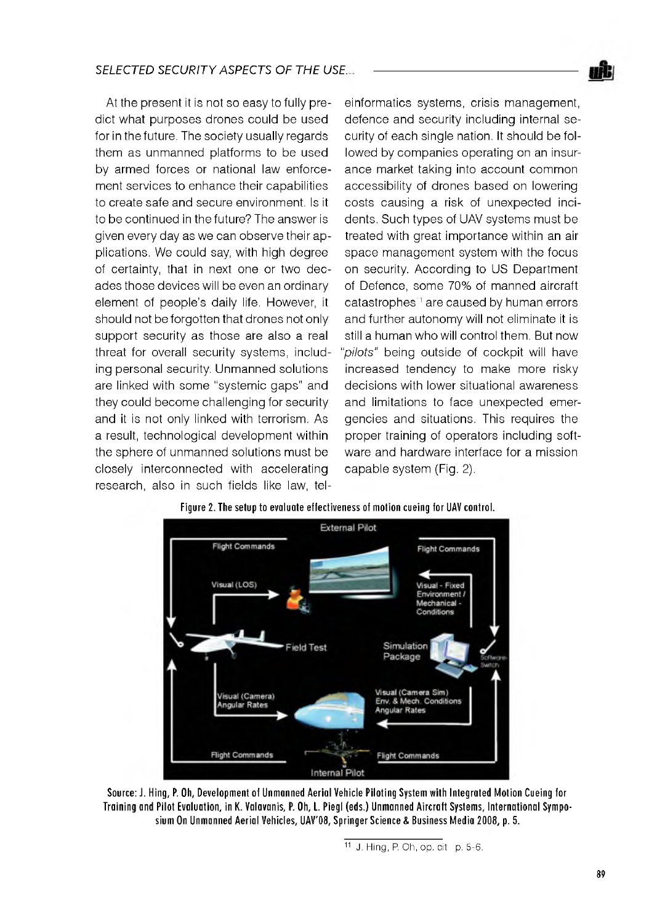At the present it is not so easy to fully predict what purposes drones could be used for in the future. The society usually regards them as unmanned platforms to be used by armed forces or national law enforcement services to enhance their capabilities to create safe and secure environment. Is it to be continued in the future? The answer is given every day as we can observe their applications. We could say, with high degree of certainty, that in next one or two decades those devices will be even an ordinary element of people's daily life. However, it should not be forgotten that drones not only support security as those are also a real threat for overall security systems, including personal security. Unmanned solutions are linked with some "systemic gaps" and they could become challenging for security and it is not only linked with terrorism. As a result, technological development within the sphere of unmanned solutions must be closely interconnected with accelerating research, also in such fields like law, tel-

einformatics systems, crisis management, defence and security including internal security of each single nation. It should be followed by companies operating on an insurance market taking into account common accessibility of drones based on lowering costs causing a risk of unexpected incidents. Such types of UAV systems must be treated with great importance within an air space management system with the focus on security. According to US Department of Defence, some 70% of manned aircraft catastrophes<sup>1</sup> are caused by human errors and further autonomy will not eliminate it is still a human who will control them. But now *"pilots"* being outside of cockpit will have increased tendency to make more risky decisions with lower situational awareness and limitations to face unexpected emergencies and situations. This requires the proper training of operators including software and hardware interface for a mission capable system (Fig. 2).



Source: J. Hing, P. Oh, Development of Unmanned Aerial Vehicle Piloting System with Integrated Motion Cueing for Training and Pilot Evaluation, in K. Valavanis, P. Oh, L. Piegl (eds.) Unmanned Aircraft Systems, International Symposium On Unmanned Aerial Vehicles, UAV'08, Springer Science & Business Media 2008, p. 5.

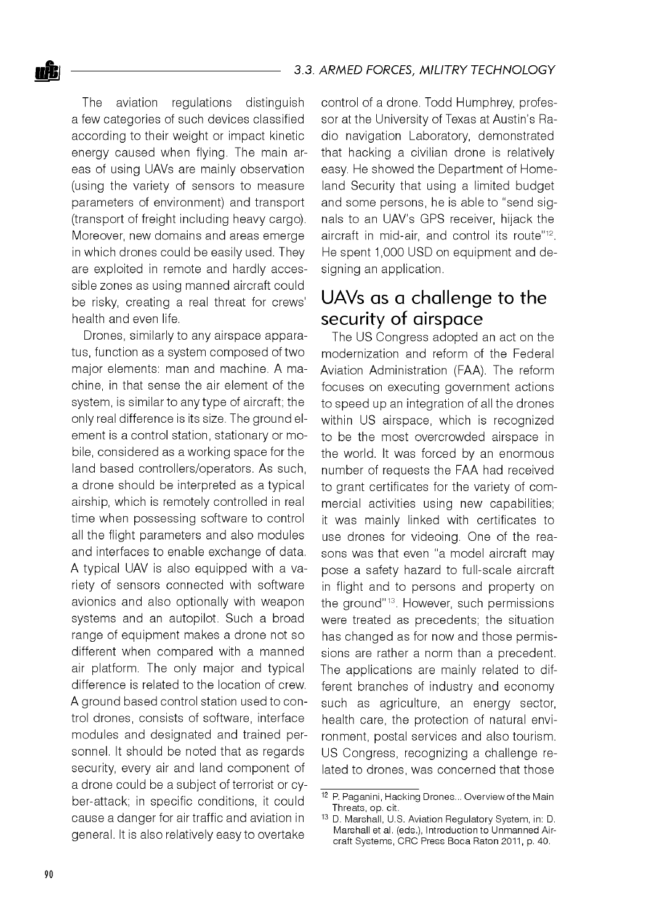The aviation regulations distinguish a few categories of such devices classified according to their weight or impact kinetic energy caused when flying. The main areas of using UAVs are mainly observation (using the variety of sensors to measure parameters of environment) and transport (transport of freight including heavy cargo). Moreover, new domains and areas emerge in which drones could be easily used. They are exploited in remote and hardly accessible zones as using manned aircraft could be risky, creating a real threat for crews' health and even life.

Drones, similarly to any airspace apparatus, function as a system composed of two major elements: man and machine. A machine, in that sense the air element of the system, is similar to any type of aircraft; the only real difference is its size. The ground element is a control station, stationary or mobile, considered as a working space for the land based controllers/operators. As such, a drone should be interpreted as a typical airship, which is remotely controlled in real time when possessing software to control all the flight parameters and also modules and interfaces to enable exchange of data. A typical UAV is also equipped with a variety of sensors connected with software avionics and also optionally with weapon systems and an autopilot. Such a broad range of equipment makes a drone not so different when compared with a manned air platform. The only major and typical difference is related to the location of crew. A ground based control station used to control drones, consists of software, interface modules and designated and trained personnel. It should be noted that as regards security, every air and land component of a drone could be a subject of terrorist or cyber-attack; in specific conditions, it could cause a danger for air traffic and aviation in general. It is also relatively easy to overtake

control of a drone. Todd Humphrey, professor at the University of Texas at Austin's Radio navigation Laboratory, demonstrated that hacking a civilian drone is relatively easy. He showed the Department of Homeland Security that using a limited budget and some persons, he is able to "send signals to an UAV's GPS receiver, hijack the aircraft in mid-air, and control its route"12. He spent 1,000 USD on equipment and designing an application.

# UAVs as a challenge to the security of airspace

The US Congress adopted an act on the modernization and reform of the Federal Aviation Administration (FAA). The reform focuses on executing government actions to speed up an integration of all the drones within US airspace, which is recognized to be the most overcrowded airspace in the world. It was forced by an enormous number of requests the FAA had received to grant certificates for the variety of commercial activities using new capabilities; it was mainly linked with certificates to use drones for videoing. One of the reasons was that even "a model aircraft may pose a safety hazard to full-scale aircraft in flight and to persons and property on the ground"<sup>13</sup>. However, such permissions were treated as precedents; the situation has changed as for now and those permissions are rather a norm than a precedent. The applications are mainly related to different branches of industry and economy such as agriculture, an energy sector, health care, the protection of natural environment, postal services and also tourism. US Congress, recognizing a challenge related to drones, was concerned that those

<sup>12</sup> P. Paganini, Hacking Drones... Overview of the Main Threats, op. cit.

<sup>13</sup> D. Marshall, U.S. Aviation Regulatory System, in: D. Marshall et al. (eds.), Introduction to Unmanned Aircraft Systems, CRC Press Boca Raton 2011, p. 40.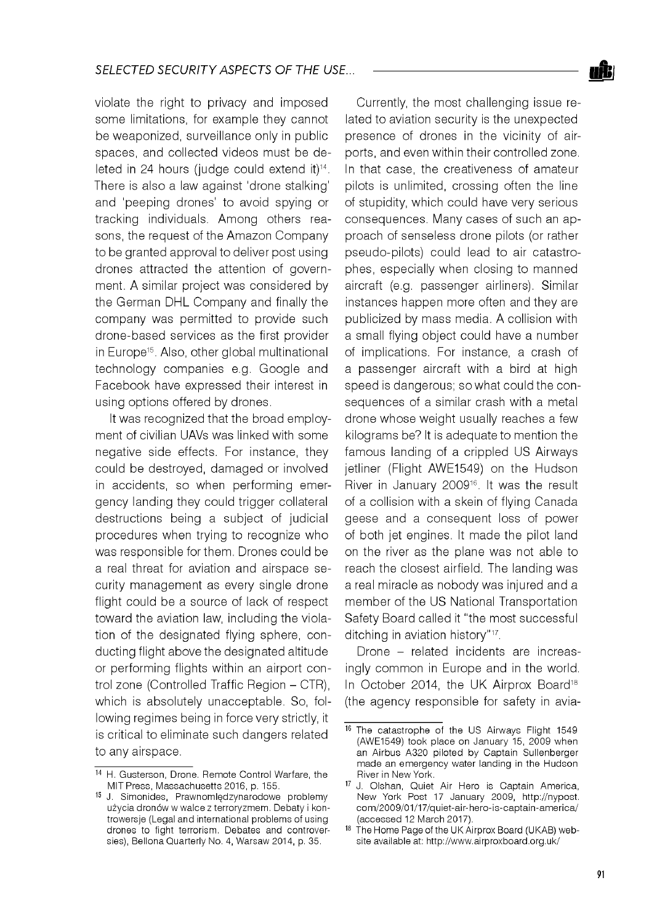violate the right to privacy and imposed some limitations, for example they cannot be weaponized, surveillance only in public spaces, and collected videos must be deleted in 24 hours (judge could extend it)<sup>14</sup>. There is also a law against 'drone stalking' and 'peeping drones' to avoid spying or tracking individuals. Among others reasons, the request of the Amazon Company to be granted approval to deliver post using drones attracted the attention of government. A similar project was considered by the German DHL Company and finally the company was permitted to provide such drone-based services as the first provider in Europe15. Also, other global multinational technology companies e.g. Google and Facebook have expressed their interest in using options offered by drones.

It was recognized that the broad employment of civilian UAVs was linked with some negative side effects. For instance, they could be destroyed, damaged or involved in accidents, so when performing emergency landing they could trigger collateral destructions being a subject of judicial procedures when trying to recognize who was responsible for them. Drones could be a real threat for aviation and airspace security management as every single drone flight could be a source of lack of respect toward the aviation law, including the violation of the designated flying sphere, conducting flight above the designated altitude or performing flights within an airport control zone (Controlled Traffic Region - CTR), which is absolutely unacceptable. So, following regimes being in force very strictly, it is critical to eliminate such dangers related to any airspace.

Currently, the most challenging issue related to aviation security is the unexpected presence of drones in the vicinity of airports, and even within their controlled zone. In that case, the creativeness of amateur pilots is unlimited, crossing often the line of stupidity, which could have very serious consequences. Many cases of such an approach of senseless drone pilots (or rather pseudo-pilots) could lead to air catastrophes, especially when closing to manned aircraft (e.g. passenger airliners). Similar instances happen more often and they are publicized by mass media. A collision with a small flying object could have a number of implications. For instance, a crash of a passenger aircraft with a bird at high speed is dangerous; so what could the consequences of a similar crash with a metal drone whose weight usually reaches a few kilograms be? It is adequate to mention the famous landing of a crippled US Airways jetliner (Flight AWE1549) on the Hudson River in January 200916. It was the result of a collision with a skein of flying Canada geese and a consequent loss of power of both jet engines. It made the pilot land on the river as the plane was not able to reach the closest airfield. The landing was a real miracle as nobody was injured and a member of the US National Transportation Safety Board called it "the most successful ditching in aviation history"17.

Drone - related incidents are increasingly common in Europe and in the world. In October 2014, the UK Airprox Board<sup>18</sup> (the agency responsible for safety in avia-

<sup>14</sup> H. Gusterson, Drone. Remote Control Warfare, the MIT Press, Massachusetts 2016, p. 155.

<sup>15</sup> J. Simonides, Prawnomlędzynarodowe problemy użycia dronów w walce z terroryzmem. Debaty i kontrowersje (Legal and international problems of using drones to fight terrorism. Debates and controversies), Bellona Quarterly No. 4, Warsaw 2014, p. 35.

<sup>16</sup> The catastrophe of the US Airways Flight 1549 (AWE1549) took place on January 15, 2009 when an Airbus A320 piloted by Captain Sullenberger made an emergency water landing in the Hudson River in New York.

<sup>17</sup> J. Olshan, Quiet Air Hero is Captain America, New York Post 17 January 2009, [http://nypost.](http://nypost) com/2009/01/17/quiet-air-hero-is-captain-america/ (accessed 12 March 2017).

<sup>18</sup> The Home Page of the UK Airprox Board (UKAB) website available at: <http://www.airproxboard.org.uk/>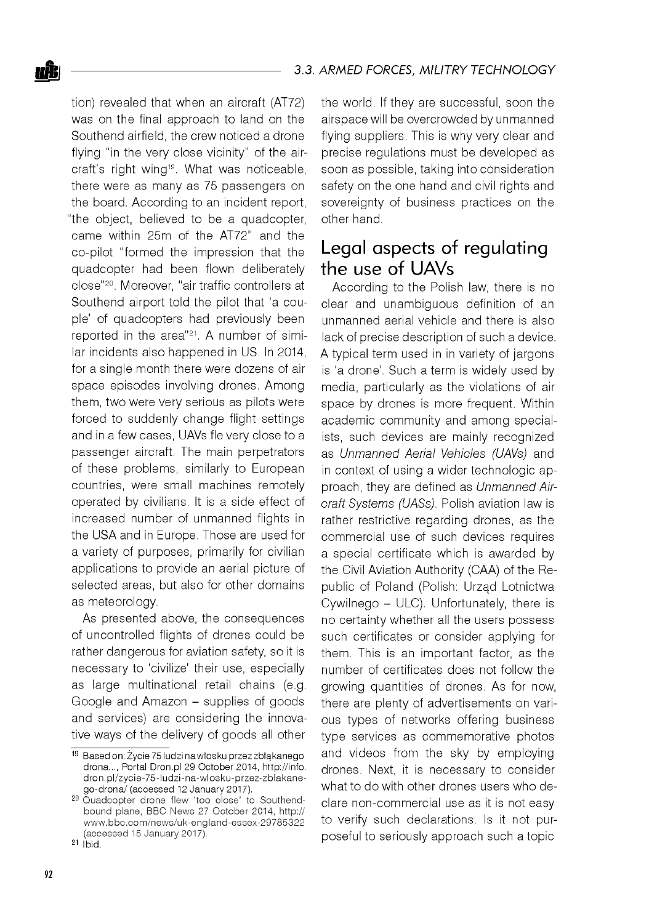tion) revealed that when an aircraft (AT72) was on the final approach to land on the Southend airfield, the crew noticed a drone flying "in the very close vicinity" of the aircraft's right wing19. What was noticeable, there were as many as 75 passengers on the board. According to an incident report, "the object, believed to be a quadcopter, came within 25m of the AT72" and the co-pilot "formed the impression that the quadcopter had been flown deliberately close"20. Moreover, "air traffic controllers at Southend airport told the pilot that 'a couple' of quadcopters had previously been reported in the area"21. A number of similar incidents also happened in US. In 2014, for a single month there were dozens of air space episodes involving drones. Among them, two were very serious as pilots were forced to suddenly change flight settings and in a few cases, UAVs fle very close to a passenger aircraft. The main perpetrators of these problems, similarly to European countries, were small machines remotely operated by civilians. It is a side effect of increased number of unmanned flights in the USA and in Europe. Those are used for a variety of purposes, primarily for civilian applications to provide an aerial picture of selected areas, but also for other domains as meteorology.

As presented above, the consequences of uncontrolled flights of drones could be rather dangerous for aviation safety, so it is necessary to 'civilize' their use, especially as large multinational retail chains (e.g. Google and Amazon - supplies of goods and services) are considering the innovative ways of the delivery of goods all other

the world. If they are successful, soon the airspace will be overcrowded by unmanned flying suppliers. This is why very clear and precise regulations must be developed as soon as possible, taking into consideration safety on the one hand and civil rights and sovereignty of business practices on the other hand.

# Legal aspects of regulating the use of UAVs

According to the Polish law, there is no clear and unambiguous definition of an unmanned aerial vehicle and there is also lack of precise description of such a device. A typical term used in in variety of jargons is 'a drone'. Such a term is widely used by media, particularly as the violations of air space by drones is more frequent. Within academic community and among specialists, such devices are mainly recognized as *Unmanned Aerial Vehicles (UAVs)* and in context of using a wider technologic approach, they are defined as *Unmanned Aircraft Systems (UASs).* Polish aviation law is rather restrictive regarding drones, as the commercial use of such devices requires a special certificate which is awarded by the Civil Aviation Authority (CAA) of the Republic of Poland (Polish: Urząd Lotnictwa Cywilnego - ULC). Unfortunately, there is no certainty whether all the users possess such certificates or consider applying for them. This is an important factor, as the number of certificates does not follow the growing quantities of drones. As for now, there are plenty of advertisements on various types of networks offering business type services as commemorative photos and videos from the sky by employing drones. Next, it is necessary to consider what to do with other drones users who declare non-commercial use as it is not easy to verify such declarations. Is it not purposeful to seriously approach such a topic

<sup>19</sup> Based on: Życie 75 ludzi na włosku przez zbłąkanego drona..., Portal Dron.pl 29 October 2014, [http://info.](http://info) dron.pl/zycie-75-ludzi-na-w losku-przez-zblakanego-drona/ (accessed 12 January 2017).

<sup>&</sup>lt;sup>20</sup> Quadcopter drone flew 'too close' to Southendbound plane, BBC News 27 October 2014, http:// www.bbc.com/news/uk-england-essex-29785322 (accessed 15 January 2017).

 $21$   $ibid.$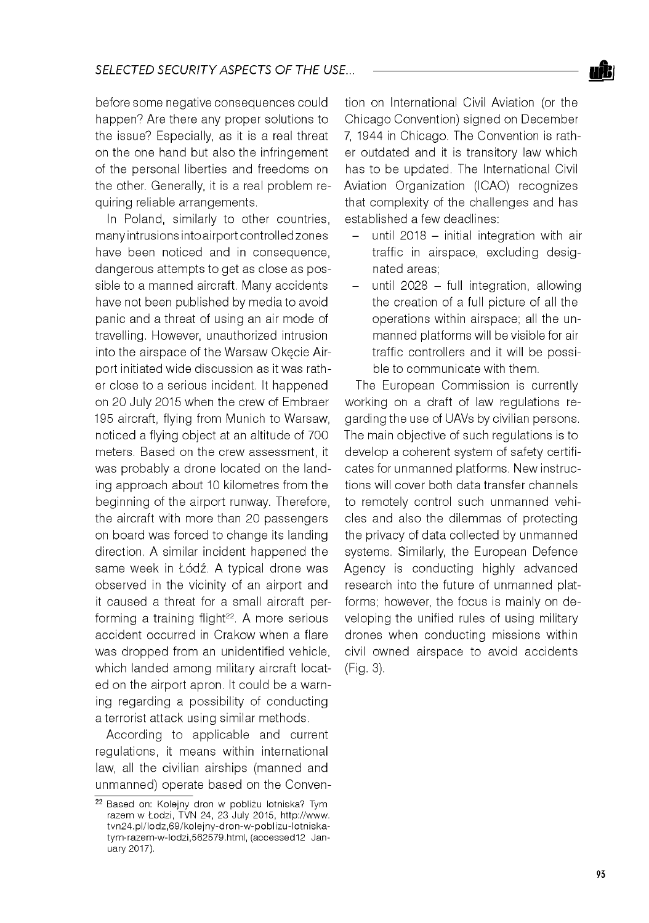before some negative consequences could happen? Are there any proper solutions to the issue? Especially, as it is a real threat on the one hand but also the infringement of the personal liberties and freedoms on the other. Generally, it is a real problem requiring reliable arrangements.

In Poland, similarly to other countries, many intrusions into airport controlled zones have been noticed and in consequence, dangerous attempts to get as close as possible to a manned aircraft. Many accidents have not been published by media to avoid panic and a threat of using an air mode of travelling. However, unauthorized intrusion into the airspace of the Warsaw Okęcie Airport initiated wide discussion as it was rather close to a serious incident. It happened on 20 July 2015 when the crew of Embraer 195 aircraft, flying from Munich to Warsaw, noticed a flying object at an altitude of 700 meters. Based on the crew assessment, it was probably a drone located on the landing approach about 10 kilometres from the beginning of the airport runway. Therefore, the aircraft with more than 20 passengers on board was forced to change its landing direction. A similar incident happened the same week in Łódź. A typical drone was observed in the vicinity of an airport and it caused a threat for a small aircraft performing a training flight<sup>22</sup>. A more serious accident occurred in Crakow when a flare was dropped from an unidentified vehicle, which landed among military aircraft located on the airport apron. It could be a warning regarding a possibility of conducting a terrorist attack using similar methods.

According to applicable and current regulations, it means within international law, all the civilian airships (manned and unmanned) operate based on the Convention on International Civil Aviation (or the Chicago Convention) signed on December 7, 1944 in Chicago. The Convention is rather outdated and it is transitory law which has to be updated. The International Civil Aviation Organization (ICAO) recognizes that complexity of the challenges and has established a few deadlines:

- until 2018  $-$  initial integration with air traffic in airspace, excluding designated areas;
- $-$  until 2028  $-$  full integration, allowing the creation of a full picture of all the operations within airspace; all the unmanned platforms will be visible for air traffic controllers and it will be possible to communicate with them.

The European Commission is currently working on a draft of law regulations regarding the use of UAVs by civilian persons. The main objective of such regulations is to develop a coherent system of safety certificates for unmanned platforms. New instructions will cover both data transfer channels to remotely control such unmanned vehicles and also the dilemmas of protecting the privacy of data collected by unmanned systems. Similarly, the European Defence Agency is conducting highly advanced research into the future of unmanned platforms; however, the focus is mainly on developing the unified rules of using military drones when conducting missions within civil owned airspace to avoid accidents (Fig. 3).

<sup>22</sup> Based on: Kolejny dron w pobliżu lotniska? Tym razem w Łodzi, TVN 24, 23 July 2015, http://www. tvn24.pl/lodz,69/kolejny-dron-w-poblizu-lotniskatym-razem-w-lodzi,562579.html, (accessed12 January 2017).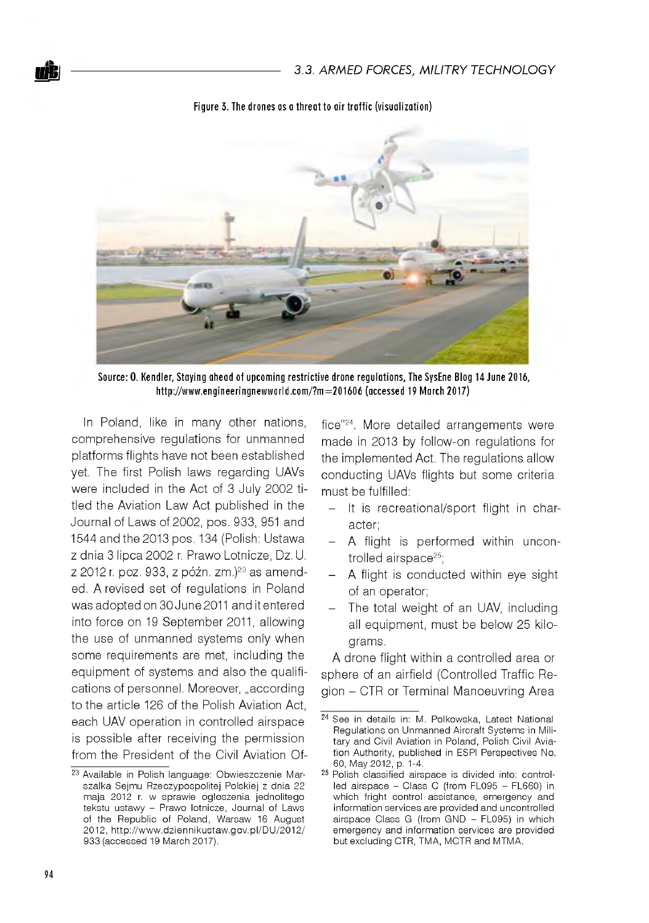

Figure 3. The drones as a threat to air traffic (visualization)

Source: O. Kendler, Staying ahead of upcoming restrictive drone regulations, The SysEne Blog 14 June 2016, http://www.engineeringnewworld.com/?m=201606 (accessed 19 March 2017)

In Poland, like in many other nations. comprehensive regulations for unmanned platforms flights have not been established yet. The first Polish laws regarding UAVs were included in the Act of 3 July 2002 titled the Aviation Law Act published in the Journal of Laws of 2002, pos. 933, 951 and 1544 and the 2013 pos. 134 (Polish: Ustawa z dnia 3 lipca 2002 r. Prawo Lotnicze, Dz. U. z 2012 r. poz. 933, z późn. zm.)<sup>23</sup> as amended. A revised set of regulations in Poland was adopted on 30 June 2011 and it entered into force on 19 September 2011, allowing the use of unmanned systems only when some requirements are met, including the equipment of systems and also the qualifications of personnel. Moreover, "according to the article 126 of the Polish Aviation Act, each UAV operation in controlled airspace is possible after receiving the permission from the President of the Civil Aviation Of-

fice"<sup>24</sup>. More detailed arrangements were made in 2013 by follow-on regulations for the implemented Act. The regulations allow conducting UAVs flights but some criteria must be fulfilled:

- It is recreational/sport flight in character:
- A flight is performed within uncontrolled airspace<sup>25</sup>:
- A flight is conducted within eye sight of an operator;
- The total weight of an UAV, including all equipment, must be below 25 kilograms.

A drone flight within a controlled area or sphere of an airfield (Controlled Traffic Region - CTR or Terminal Manoeuvring Area

<sup>&</sup>lt;sup>23</sup> Available in Polish language: Obwieszczenie Marszałka Sejmu Rzeczypospolitej Polskiej z dnia 22 maja 2012 r. w sprawie ogłoszenia jednolitego tekstu ustawy - Prawo lotnicze, Journal of Laws of the Republic of Poland, Warsaw 16 August 2012, http://www.dziennikustaw.gov.pl/DU/2012/ 933 (accessed 19 March 2017).

<sup>24</sup> See in details in: M. Polkowska, Latest National Regulations on Unmanned Aircraft Systems in Military and Civil Aviation in Poland, Polish Civil Aviation Authority, published in ESPI Perspectives No. 60, May 2012, p. 1-4.

<sup>&</sup>lt;sup>25</sup> Polish classified airspace is divided into: controlled airspace - Class C (from FL095 - FL660) in which fright control assistance, emergency and information services are provided and uncontrolled airspace Class G (from GND - FL095) in which emergency and information services are provided but excluding CTR, TMA, MCTR and MTMA.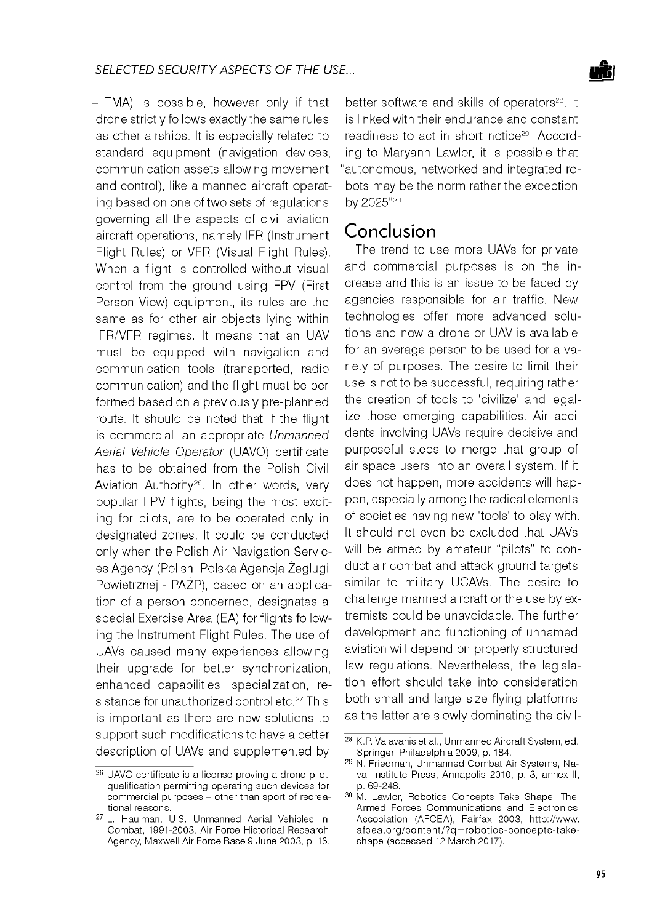

- TMA) is possible, however only if that drone strictly follows exactly the same rules as other airships. It is especially related to standard equipment (navigation devices, communication assets allowing movement and control), like a manned aircraft operating based on one of two sets of regulations governing all the aspects of civil aviation aircraft operations, namely IFR (Instrument Flight Rules) or VFR (Visual Flight Rules). When a flight is controlled without visual control from the ground using FPV (First Person View) equipment, its rules are the same as for other air objects lying within IFR/VFR regimes. It means that an UAV must be equipped with navigation and communication tools (transported, radio communication) and the flight must be performed based on a previously pre-planned route. It should be noted that if the flight is commercial, an appropriate *Unmanned Aerial Vehicle Operator* (UAVO) certificate has to be obtained from the Polish Civil Aviation Authority<sup>26</sup>. In other words, very popular FPV flights, being the most exciting for pilots, are to be operated only in designated zones. It could be conducted only when the Polish Air Navigation Services Agency (Polish: Polska Agencja Żeglugi Powietrznej - PAŻP), based on an application of a person concerned, designates a special Exercise Area (EA) for flights following the Instrument Flight Rules. The use of UAVs caused many experiences allowing their upgrade for better synchronization, enhanced capabilities, specialization, resistance for unauthorized control etc.<sup>27</sup> This is important as there are new solutions to support such modifications to have a better description of UAVs and supplemented by

better software and skills of operators<sup>28</sup>. It is linked with their endurance and constant readiness to act in short notice29. According to Maryann Lawlor, it is possible that "autonomous, networked and integrated robots may be the norm rather the exception by 2025"30.

## Conclusion

The trend to use more UAVs for private and commercial purposes is on the increase and this is an issue to be faced by agencies responsible for air traffic. New technologies offer more advanced solutions and now a drone or UAV is available for an average person to be used for a variety of purposes. The desire to limit their use is not to be successful, requiring rather the creation of tools to 'civilize' and legalize those emerging capabilities. Air accidents involving UAVs require decisive and purposeful steps to merge that group of air space users into an overall system. If it does not happen, more accidents will happen, especially among the radical elements of societies having new 'tools' to play with. It should not even be excluded that UAVs will be armed by amateur "pilots" to conduct air combat and attack ground targets similar to military UCAVs. The desire to challenge manned aircraft or the use by extremists could be unavoidable. The further development and functioning of unnamed aviation will depend on properly structured law regulations. Nevertheless, the legislation effort should take into consideration both small and large size flying platforms as the latter are slowly dominating the civil-

<sup>26</sup> UAVO certificate is a license proving a drone pilot qualification permitting operating such devices for commercial purposes - other than sport of recreational reasons.

<sup>27</sup> L. Haulman, U.S. Unmanned Aerial Vehicles in Combat, 1991-2003, Air Force Historical Research Agency, Maxwell Air Force Base 9 June 2003, p. 16.

<sup>28</sup> K.P. Valavanis et al., Unmanned Aircraft System, ed. Springer, Philadelphia 2009, p. 184.

<sup>&</sup>lt;sup>29</sup> N. Friedman, Unmanned Combat Air Systems, Naval Institute Press, Annapolis 2010, p. 3, annex II, p. 69-248.

<sup>30</sup> M. Lawlor, Robotics Concepts Take Shape, The Armed Forces Communications and Electronics Association (AFCEA), Fairfax 2003, http://www. afcea.org/content/?q=robotics-concepts-takeshape (accessed 12 March 2017).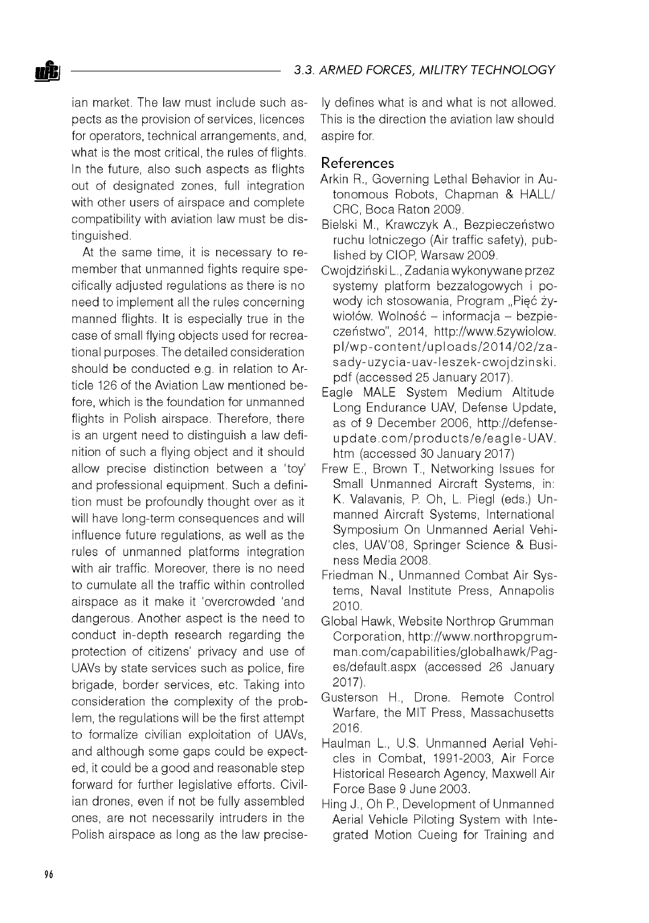ian market. The law must include such aspects as the provision of services, licences for operators, technical arrangements, and, what is the most critical, the rules of flights. In the future, also such aspects as flights out of designated zones, full integration with other users of airspace and complete compatibility with aviation law must be distinguished.

At the same time, it is necessary to remember that unmanned fights require specifically adjusted regulations as there is no need to implement all the rules concerning manned flights. It is especially true in the case of small flying objects used for recreational purposes. The detailed consideration should be conducted e.g. in relation to Article 126 of the Aviation Law mentioned before, which is the foundation for unmanned flights in Polish airspace. Therefore, there is an urgent need to distinguish a law definition of such a flying object and it should allow precise distinction between a 'toy' and professional equipment. Such a definition must be profoundly thought over as it will have long-term consequences and will influence future regulations, as well as the rules of unmanned platforms integration with air traffic. Moreover, there is no need to cumulate all the traffic within controlled airspace as it make it 'overcrowded 'and dangerous. Another aspect is the need to conduct in-depth research regarding the protection of citizens' privacy and use of UAVs by state services such as police, fire brigade, border services, etc. Taking into consideration the complexity of the problem, the regulations will be the first attempt to formalize civilian exploitation of UAVs, and although some gaps could be expected, it could be a good and reasonable step forward for further legislative efforts. Civilian drones, even if not be fully assembled ones, are not necessarily intruders in the Polish airspace as long as the law precisely defines what is and what is not allowed. This is the direction the aviation law should aspire for.

#### References

- Arkin R., Governing Lethal Behavior in Autonomous Robots, Chapman & HALL/ CRC, Boca Raton 2009.
- Bielski M., Krawczyk A., Bezpieczeństwo ruchu lotniczego (Air traffic safety), published by CIOP, Warsaw 2009.
- Cwojdziński L., Zadania wykonywane przez systemy platform bezzałogowych i powody ich stosowania, Program "Pięć żywiołów. Wolność – informacja – bezpieczeństwo", 2014, [http://www.5zywiolow.](http://www.5zywiolow) pl/wp-content/uploads/2014/02/zasady-uzycia-uav-leszek-cwojdzinski. pdf (accessed 25 January 2017).
- Eagle MALE System Medium Altitude Long Endurance UAV, Defense Update, as of 9 December 2006, [http://defense](http://defense-)update.com/products/e/eagle-UAV. htm (accessed 30 January 2017)
- Frew E., Brown T., Networking Issues for Small Unmanned Aircraft Systems, in: K. Valavanis, P. Oh, L. Piegl (eds.) Unmanned Aircraft Systems, International Symposium On Unmanned Aerial Vehicles, UAV'08, Springer Science & Business Media 2008.
- Friedman N., Unmanned Combat Air Systems, Naval Institute Press, Annapolis 2010.
- Global Hawk, Website Northrop Grumman Corporation, http://www.northropgrumman.com/capabilities/globalhawk/Pages/default.aspx (accessed 26 January 2017).
- Gusterson H., Drone. Remote Control Warfare, the MIT Press, Massachusetts 2016.
- Haulman L., U.S. Unmanned Aerial Vehicles in Combat, 1991-2003, Air Force Historical Research Agency, Maxwell Air Force Base 9 June 2003.
- Hing J., Oh P., Development of Unmanned Aerial Vehicle Piloting System with Integrated Motion Cueing for Training and